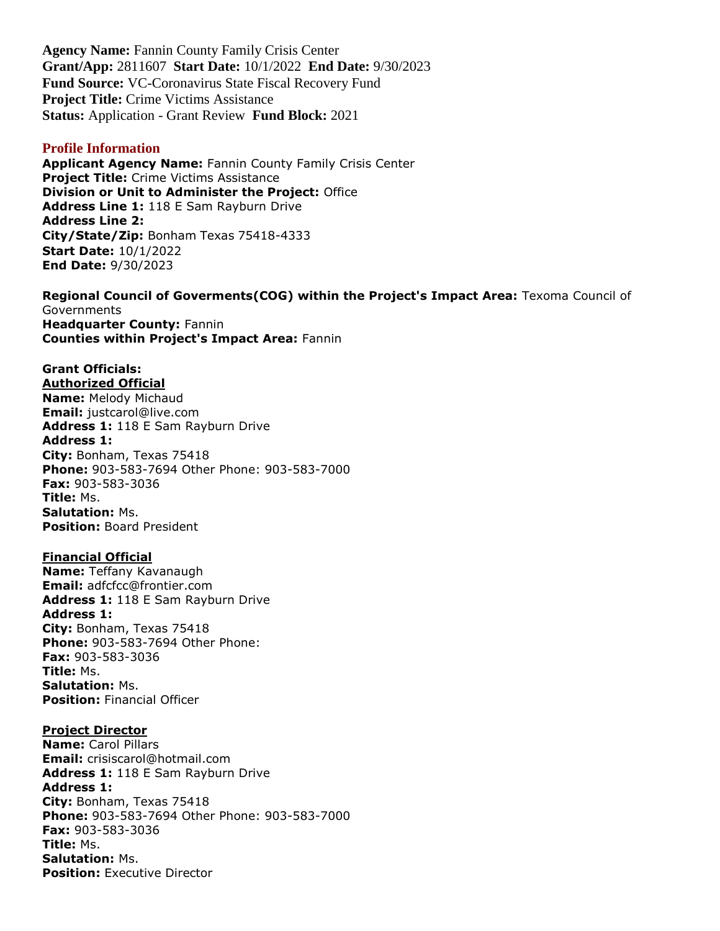**Agency Name:** Fannin County Family Crisis Center **Grant/App:** 2811607 **Start Date:** 10/1/2022 **End Date:** 9/30/2023 **Fund Source:** VC-Coronavirus State Fiscal Recovery Fund **Project Title:** Crime Victims Assistance **Status:** Application - Grant Review **Fund Block:** 2021

#### **Profile Information**

**Applicant Agency Name:** Fannin County Family Crisis Center **Project Title:** Crime Victims Assistance **Division or Unit to Administer the Project:** Office **Address Line 1:** 118 E Sam Rayburn Drive **Address Line 2: City/State/Zip:** Bonham Texas 75418-4333 **Start Date:** 10/1/2022 **End Date:** 9/30/2023

**Regional Council of Goverments(COG) within the Project's Impact Area:** Texoma Council of **Governments Headquarter County:** Fannin **Counties within Project's Impact Area:** Fannin

#### **Grant Officials: Authorized Official**

**Name:** Melody Michaud **Email:** justcarol@live.com **Address 1:** 118 E Sam Rayburn Drive **Address 1: City:** Bonham, Texas 75418 **Phone:** 903-583-7694 Other Phone: 903-583-7000 **Fax:** 903-583-3036 **Title:** Ms. **Salutation:** Ms. **Position:** Board President

#### **Financial Official**

**Name:** Teffany Kavanaugh **Email:** adfcfcc@frontier.com **Address 1:** 118 E Sam Rayburn Drive **Address 1: City:** Bonham, Texas 75418 **Phone:** 903-583-7694 Other Phone: **Fax:** 903-583-3036 **Title:** Ms. **Salutation:** Ms. **Position:** Financial Officer

### **Project Director**

**Name:** Carol Pillars **Email:** crisiscarol@hotmail.com **Address 1:** 118 E Sam Rayburn Drive **Address 1: City:** Bonham, Texas 75418 **Phone:** 903-583-7694 Other Phone: 903-583-7000 **Fax:** 903-583-3036 **Title:** Ms. **Salutation:** Ms. **Position: Executive Director**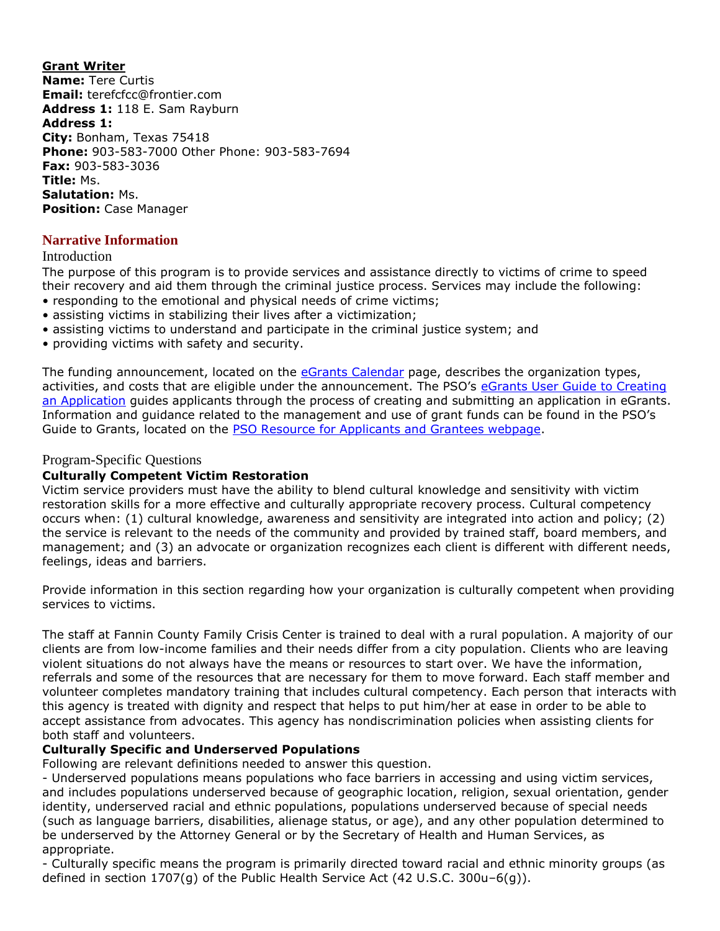**Grant Writer Name:** Tere Curtis **Email:** terefcfcc@frontier.com **Address 1:** 118 E. Sam Rayburn **Address 1: City:** Bonham, Texas 75418 **Phone:** 903-583-7000 Other Phone: 903-583-7694 **Fax:** 903-583-3036 **Title:** Ms. **Salutation:** Ms. **Position:** Case Manager

## **Narrative Information**

#### Introduction

The purpose of this program is to provide services and assistance directly to victims of crime to speed their recovery and aid them through the criminal justice process. Services may include the following:

- responding to the emotional and physical needs of crime victims;
- assisting victims in stabilizing their lives after a victimization;
- assisting victims to understand and participate in the criminal justice system; and
- providing victims with safety and security.

The funding announcement, located on the [eGrants Calendar](https://egrants.gov.texas.gov/fundopp.aspx) page, describes the organization types, activities, and costs that are eligible under the announcement. The PSO's [eGrants User Guide to Creating](file:///C:/Users/mharp/fundopp.aspx%3fname=eGrants_Guide_to_Creating_an_Application_12.2020.pdf&type=2)  [an Application](file:///C:/Users/mharp/fundopp.aspx%3fname=eGrants_Guide_to_Creating_an_Application_12.2020.pdf&type=2) guides applicants through the process of creating and submitting an application in eGrants. Information and guidance related to the management and use of grant funds can be found in the PSO's Guide to Grants, located on the [PSO Resource for Applicants and Grantees webpage.](https://gov.texas.gov/organization/cjd/resources)

## Program-Specific Questions

#### **Culturally Competent Victim Restoration**

Victim service providers must have the ability to blend cultural knowledge and sensitivity with victim restoration skills for a more effective and culturally appropriate recovery process. Cultural competency occurs when: (1) cultural knowledge, awareness and sensitivity are integrated into action and policy; (2) the service is relevant to the needs of the community and provided by trained staff, board members, and management; and (3) an advocate or organization recognizes each client is different with different needs, feelings, ideas and barriers.

Provide information in this section regarding how your organization is culturally competent when providing services to victims.

The staff at Fannin County Family Crisis Center is trained to deal with a rural population. A majority of our clients are from low-income families and their needs differ from a city population. Clients who are leaving violent situations do not always have the means or resources to start over. We have the information, referrals and some of the resources that are necessary for them to move forward. Each staff member and volunteer completes mandatory training that includes cultural competency. Each person that interacts with this agency is treated with dignity and respect that helps to put him/her at ease in order to be able to accept assistance from advocates. This agency has nondiscrimination policies when assisting clients for both staff and volunteers.

#### **Culturally Specific and Underserved Populations**

Following are relevant definitions needed to answer this question.

- Underserved populations means populations who face barriers in accessing and using victim services, and includes populations underserved because of geographic location, religion, sexual orientation, gender identity, underserved racial and ethnic populations, populations underserved because of special needs (such as language barriers, disabilities, alienage status, or age), and any other population determined to be underserved by the Attorney General or by the Secretary of Health and Human Services, as appropriate.

- Culturally specific means the program is primarily directed toward racial and ethnic minority groups (as defined in section 1707(g) of the Public Health Service Act (42 U.S.C. 300u–6(g)).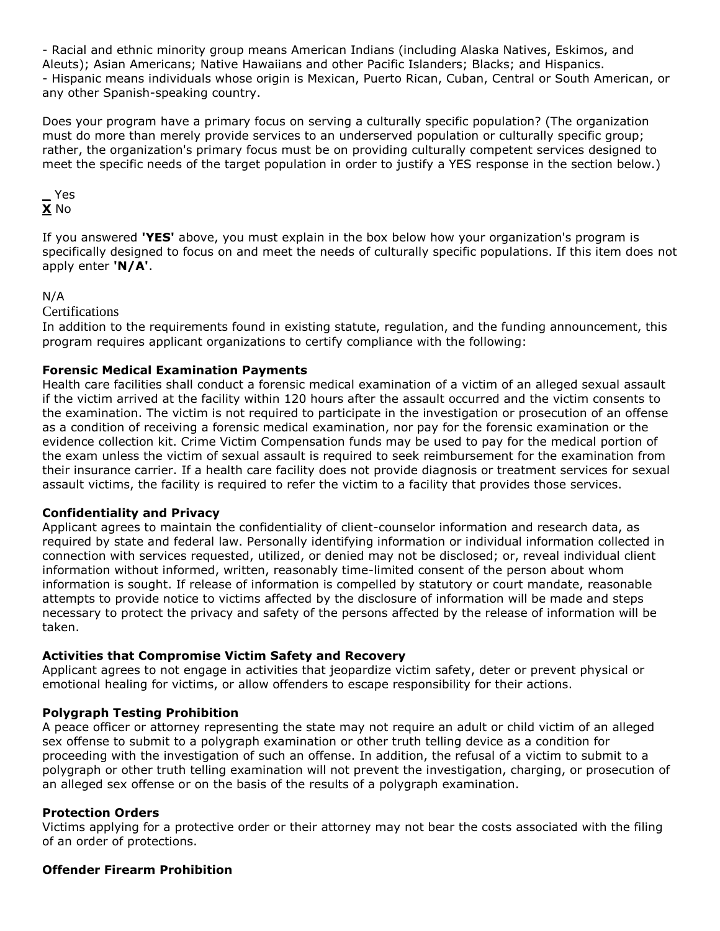- Racial and ethnic minority group means American Indians (including Alaska Natives, Eskimos, and Aleuts); Asian Americans; Native Hawaiians and other Pacific Islanders; Blacks; and Hispanics. - Hispanic means individuals whose origin is Mexican, Puerto Rican, Cuban, Central or South American, or any other Spanish-speaking country.

Does your program have a primary focus on serving a culturally specific population? (The organization must do more than merely provide services to an underserved population or culturally specific group; rather, the organization's primary focus must be on providing culturally competent services designed to meet the specific needs of the target population in order to justify a YES response in the section below.)

## **\_** Yes **X** No

If you answered **'YES'** above, you must explain in the box below how your organization's program is specifically designed to focus on and meet the needs of culturally specific populations. If this item does not apply enter **'N/A'**.

## N/A

**Certifications** 

In addition to the requirements found in existing statute, regulation, and the funding announcement, this program requires applicant organizations to certify compliance with the following:

## **Forensic Medical Examination Payments**

Health care facilities shall conduct a forensic medical examination of a victim of an alleged sexual assault if the victim arrived at the facility within 120 hours after the assault occurred and the victim consents to the examination. The victim is not required to participate in the investigation or prosecution of an offense as a condition of receiving a forensic medical examination, nor pay for the forensic examination or the evidence collection kit. Crime Victim Compensation funds may be used to pay for the medical portion of the exam unless the victim of sexual assault is required to seek reimbursement for the examination from their insurance carrier. If a health care facility does not provide diagnosis or treatment services for sexual assault victims, the facility is required to refer the victim to a facility that provides those services.

## **Confidentiality and Privacy**

Applicant agrees to maintain the confidentiality of client-counselor information and research data, as required by state and federal law. Personally identifying information or individual information collected in connection with services requested, utilized, or denied may not be disclosed; or, reveal individual client information without informed, written, reasonably time-limited consent of the person about whom information is sought. If release of information is compelled by statutory or court mandate, reasonable attempts to provide notice to victims affected by the disclosure of information will be made and steps necessary to protect the privacy and safety of the persons affected by the release of information will be taken.

## **Activities that Compromise Victim Safety and Recovery**

Applicant agrees to not engage in activities that jeopardize victim safety, deter or prevent physical or emotional healing for victims, or allow offenders to escape responsibility for their actions.

## **Polygraph Testing Prohibition**

A peace officer or attorney representing the state may not require an adult or child victim of an alleged sex offense to submit to a polygraph examination or other truth telling device as a condition for proceeding with the investigation of such an offense. In addition, the refusal of a victim to submit to a polygraph or other truth telling examination will not prevent the investigation, charging, or prosecution of an alleged sex offense or on the basis of the results of a polygraph examination.

## **Protection Orders**

Victims applying for a protective order or their attorney may not bear the costs associated with the filing of an order of protections.

## **Offender Firearm Prohibition**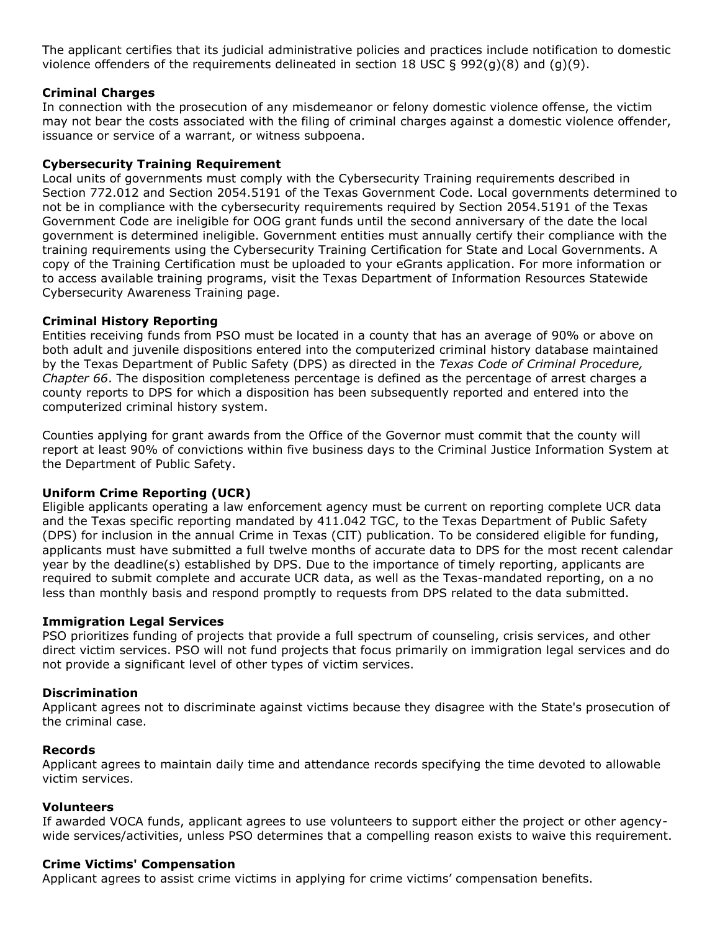The applicant certifies that its judicial administrative policies and practices include notification to domestic violence offenders of the requirements delineated in section 18 USC § 992(g)(8) and (g)(9).

## **Criminal Charges**

In connection with the prosecution of any misdemeanor or felony domestic violence offense, the victim may not bear the costs associated with the filing of criminal charges against a domestic violence offender, issuance or service of a warrant, or witness subpoena.

## **Cybersecurity Training Requirement**

Local units of governments must comply with the Cybersecurity Training requirements described in Section 772.012 and Section 2054.5191 of the Texas Government Code. Local governments determined to not be in compliance with the cybersecurity requirements required by Section 2054.5191 of the Texas Government Code are ineligible for OOG grant funds until the second anniversary of the date the local government is determined ineligible. Government entities must annually certify their compliance with the training requirements using the Cybersecurity Training Certification for State and Local Governments. A copy of the Training Certification must be uploaded to your eGrants application. For more information or to access available training programs, visit the Texas Department of Information Resources Statewide Cybersecurity Awareness Training page.

## **Criminal History Reporting**

Entities receiving funds from PSO must be located in a county that has an average of 90% or above on both adult and juvenile dispositions entered into the computerized criminal history database maintained by the Texas Department of Public Safety (DPS) as directed in the *Texas Code of Criminal Procedure, Chapter 66*. The disposition completeness percentage is defined as the percentage of arrest charges a county reports to DPS for which a disposition has been subsequently reported and entered into the computerized criminal history system.

Counties applying for grant awards from the Office of the Governor must commit that the county will report at least 90% of convictions within five business days to the Criminal Justice Information System at the Department of Public Safety.

#### **Uniform Crime Reporting (UCR)**

Eligible applicants operating a law enforcement agency must be current on reporting complete UCR data and the Texas specific reporting mandated by 411.042 TGC, to the Texas Department of Public Safety (DPS) for inclusion in the annual Crime in Texas (CIT) publication. To be considered eligible for funding, applicants must have submitted a full twelve months of accurate data to DPS for the most recent calendar year by the deadline(s) established by DPS. Due to the importance of timely reporting, applicants are required to submit complete and accurate UCR data, as well as the Texas-mandated reporting, on a no less than monthly basis and respond promptly to requests from DPS related to the data submitted.

#### **Immigration Legal Services**

PSO prioritizes funding of projects that provide a full spectrum of counseling, crisis services, and other direct victim services. PSO will not fund projects that focus primarily on immigration legal services and do not provide a significant level of other types of victim services.

#### **Discrimination**

Applicant agrees not to discriminate against victims because they disagree with the State's prosecution of the criminal case.

#### **Records**

Applicant agrees to maintain daily time and attendance records specifying the time devoted to allowable victim services.

#### **Volunteers**

If awarded VOCA funds, applicant agrees to use volunteers to support either the project or other agencywide services/activities, unless PSO determines that a compelling reason exists to waive this requirement.

#### **Crime Victims' Compensation**

Applicant agrees to assist crime victims in applying for crime victims' compensation benefits.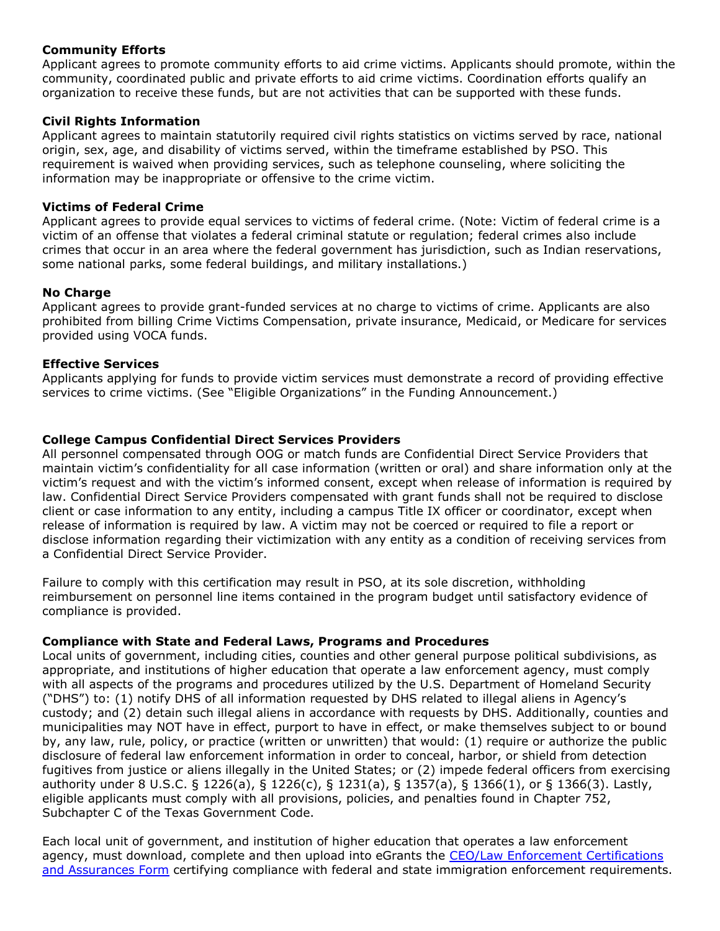#### **Community Efforts**

Applicant agrees to promote community efforts to aid crime victims. Applicants should promote, within the community, coordinated public and private efforts to aid crime victims. Coordination efforts qualify an organization to receive these funds, but are not activities that can be supported with these funds.

## **Civil Rights Information**

Applicant agrees to maintain statutorily required civil rights statistics on victims served by race, national origin, sex, age, and disability of victims served, within the timeframe established by PSO. This requirement is waived when providing services, such as telephone counseling, where soliciting the information may be inappropriate or offensive to the crime victim.

## **Victims of Federal Crime**

Applicant agrees to provide equal services to victims of federal crime. (Note: Victim of federal crime is a victim of an offense that violates a federal criminal statute or regulation; federal crimes also include crimes that occur in an area where the federal government has jurisdiction, such as Indian reservations, some national parks, some federal buildings, and military installations.)

#### **No Charge**

Applicant agrees to provide grant-funded services at no charge to victims of crime. Applicants are also prohibited from billing Crime Victims Compensation, private insurance, Medicaid, or Medicare for services provided using VOCA funds.

## **Effective Services**

Applicants applying for funds to provide victim services must demonstrate a record of providing effective services to crime victims. (See "Eligible Organizations" in the Funding Announcement.)

## **College Campus Confidential Direct Services Providers**

All personnel compensated through OOG or match funds are Confidential Direct Service Providers that maintain victim's confidentiality for all case information (written or oral) and share information only at the victim's request and with the victim's informed consent, except when release of information is required by law. Confidential Direct Service Providers compensated with grant funds shall not be required to disclose client or case information to any entity, including a campus Title IX officer or coordinator, except when release of information is required by law. A victim may not be coerced or required to file a report or disclose information regarding their victimization with any entity as a condition of receiving services from a Confidential Direct Service Provider.

Failure to comply with this certification may result in PSO, at its sole discretion, withholding reimbursement on personnel line items contained in the program budget until satisfactory evidence of compliance is provided.

#### **Compliance with State and Federal Laws, Programs and Procedures**

Local units of government, including cities, counties and other general purpose political subdivisions, as appropriate, and institutions of higher education that operate a law enforcement agency, must comply with all aspects of the programs and procedures utilized by the U.S. Department of Homeland Security ("DHS") to: (1) notify DHS of all information requested by DHS related to illegal aliens in Agency's custody; and (2) detain such illegal aliens in accordance with requests by DHS. Additionally, counties and municipalities may NOT have in effect, purport to have in effect, or make themselves subject to or bound by, any law, rule, policy, or practice (written or unwritten) that would: (1) require or authorize the public disclosure of federal law enforcement information in order to conceal, harbor, or shield from detection fugitives from justice or aliens illegally in the United States; or (2) impede federal officers from exercising authority under 8 U.S.C. § 1226(a), § 1226(c), § 1231(a), § 1357(a), § 1366(1), or § 1366(3). Lastly, eligible applicants must comply with all provisions, policies, and penalties found in Chapter 752, Subchapter C of the Texas Government Code.

Each local unit of government, and institution of higher education that operates a law enforcement agency, must download, complete and then upload into eGrants the [CEO/Law Enforcement Certifications](file:///C:/Users/mharp/fundopp.aspx%3fname=CEO-LE_Cert-Assurances_Form-Blank.pdf&type=2)  [and Assurances Form](file:///C:/Users/mharp/fundopp.aspx%3fname=CEO-LE_Cert-Assurances_Form-Blank.pdf&type=2) certifying compliance with federal and state immigration enforcement requirements.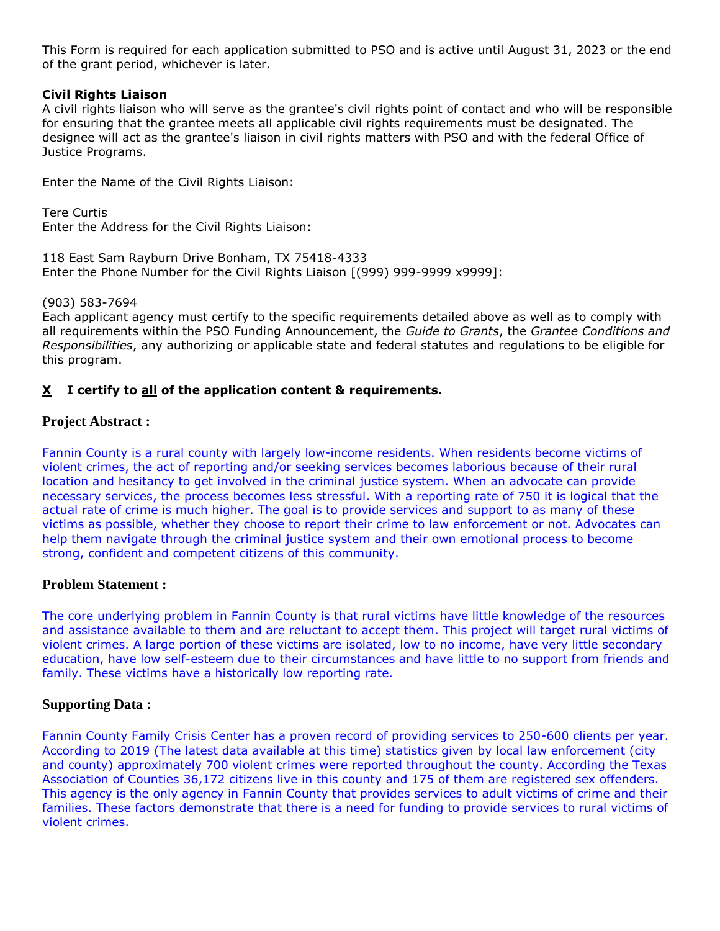This Form is required for each application submitted to PSO and is active until August 31, 2023 or the end of the grant period, whichever is later.

## **Civil Rights Liaison**

A civil rights liaison who will serve as the grantee's civil rights point of contact and who will be responsible for ensuring that the grantee meets all applicable civil rights requirements must be designated. The designee will act as the grantee's liaison in civil rights matters with PSO and with the federal Office of Justice Programs.

Enter the Name of the Civil Rights Liaison:

Tere Curtis Enter the Address for the Civil Rights Liaison:

118 East Sam Rayburn Drive Bonham, TX 75418-4333 Enter the Phone Number for the Civil Rights Liaison [(999) 999-9999 x9999]:

(903) 583-7694

Each applicant agency must certify to the specific requirements detailed above as well as to comply with all requirements within the PSO Funding Announcement, the *Guide to Grants*, the *Grantee Conditions and Responsibilities*, any authorizing or applicable state and federal statutes and regulations to be eligible for this program.

## **X I certify to all of the application content & requirements.**

## **Project Abstract :**

Fannin County is a rural county with largely low-income residents. When residents become victims of violent crimes, the act of reporting and/or seeking services becomes laborious because of their rural location and hesitancy to get involved in the criminal justice system. When an advocate can provide necessary services, the process becomes less stressful. With a reporting rate of 750 it is logical that the actual rate of crime is much higher. The goal is to provide services and support to as many of these victims as possible, whether they choose to report their crime to law enforcement or not. Advocates can help them navigate through the criminal justice system and their own emotional process to become strong, confident and competent citizens of this community.

#### **Problem Statement :**

The core underlying problem in Fannin County is that rural victims have little knowledge of the resources and assistance available to them and are reluctant to accept them. This project will target rural victims of violent crimes. A large portion of these victims are isolated, low to no income, have very little secondary education, have low self-esteem due to their circumstances and have little to no support from friends and family. These victims have a historically low reporting rate.

#### **Supporting Data :**

Fannin County Family Crisis Center has a proven record of providing services to 250-600 clients per year. According to 2019 (The latest data available at this time) statistics given by local law enforcement (city and county) approximately 700 violent crimes were reported throughout the county. According the Texas Association of Counties 36,172 citizens live in this county and 175 of them are registered sex offenders. This agency is the only agency in Fannin County that provides services to adult victims of crime and their families. These factors demonstrate that there is a need for funding to provide services to rural victims of violent crimes.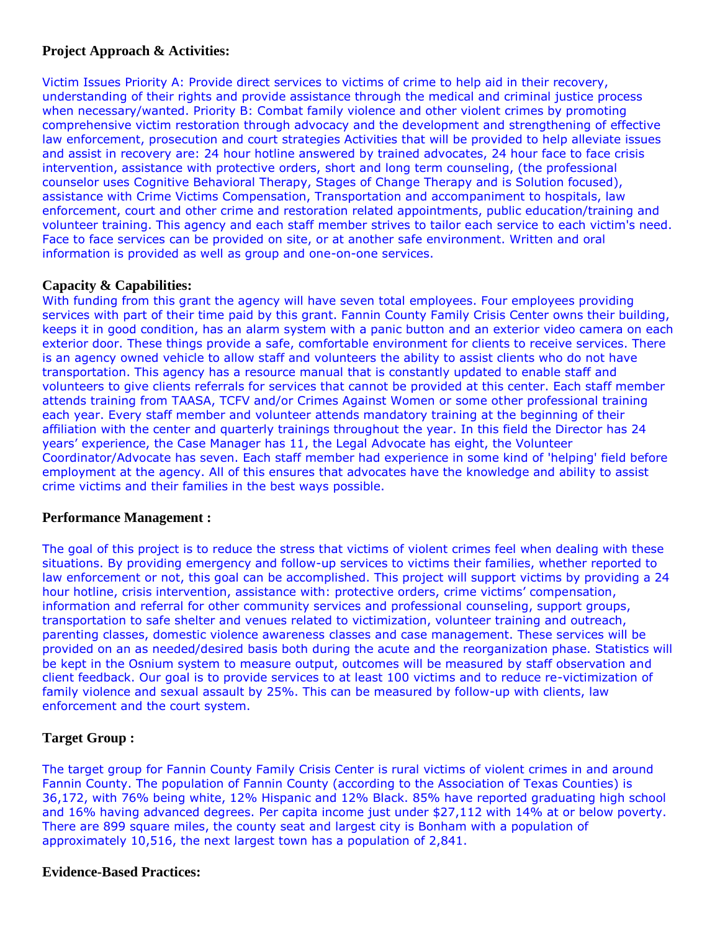## **Project Approach & Activities:**

Victim Issues Priority A: Provide direct services to victims of crime to help aid in their recovery, understanding of their rights and provide assistance through the medical and criminal justice process when necessary/wanted. Priority B: Combat family violence and other violent crimes by promoting comprehensive victim restoration through advocacy and the development and strengthening of effective law enforcement, prosecution and court strategies Activities that will be provided to help alleviate issues and assist in recovery are: 24 hour hotline answered by trained advocates, 24 hour face to face crisis intervention, assistance with protective orders, short and long term counseling, (the professional counselor uses Cognitive Behavioral Therapy, Stages of Change Therapy and is Solution focused), assistance with Crime Victims Compensation, Transportation and accompaniment to hospitals, law enforcement, court and other crime and restoration related appointments, public education/training and volunteer training. This agency and each staff member strives to tailor each service to each victim's need. Face to face services can be provided on site, or at another safe environment. Written and oral information is provided as well as group and one-on-one services.

## **Capacity & Capabilities:**

With funding from this grant the agency will have seven total employees. Four employees providing services with part of their time paid by this grant. Fannin County Family Crisis Center owns their building, keeps it in good condition, has an alarm system with a panic button and an exterior video camera on each exterior door. These things provide a safe, comfortable environment for clients to receive services. There is an agency owned vehicle to allow staff and volunteers the ability to assist clients who do not have transportation. This agency has a resource manual that is constantly updated to enable staff and volunteers to give clients referrals for services that cannot be provided at this center. Each staff member attends training from TAASA, TCFV and/or Crimes Against Women or some other professional training each year. Every staff member and volunteer attends mandatory training at the beginning of their affiliation with the center and quarterly trainings throughout the year. In this field the Director has 24 years' experience, the Case Manager has 11, the Legal Advocate has eight, the Volunteer Coordinator/Advocate has seven. Each staff member had experience in some kind of 'helping' field before employment at the agency. All of this ensures that advocates have the knowledge and ability to assist crime victims and their families in the best ways possible.

#### **Performance Management :**

The goal of this project is to reduce the stress that victims of violent crimes feel when dealing with these situations. By providing emergency and follow-up services to victims their families, whether reported to law enforcement or not, this goal can be accomplished. This project will support victims by providing a 24 hour hotline, crisis intervention, assistance with: protective orders, crime victims' compensation, information and referral for other community services and professional counseling, support groups, transportation to safe shelter and venues related to victimization, volunteer training and outreach, parenting classes, domestic violence awareness classes and case management. These services will be provided on an as needed/desired basis both during the acute and the reorganization phase. Statistics will be kept in the Osnium system to measure output, outcomes will be measured by staff observation and client feedback. Our goal is to provide services to at least 100 victims and to reduce re-victimization of family violence and sexual assault by 25%. This can be measured by follow-up with clients, law enforcement and the court system.

## **Target Group :**

The target group for Fannin County Family Crisis Center is rural victims of violent crimes in and around Fannin County. The population of Fannin County (according to the Association of Texas Counties) is 36,172, with 76% being white, 12% Hispanic and 12% Black. 85% have reported graduating high school and 16% having advanced degrees. Per capita income just under \$27,112 with 14% at or below poverty. There are 899 square miles, the county seat and largest city is Bonham with a population of approximately 10,516, the next largest town has a population of 2,841.

## **Evidence-Based Practices:**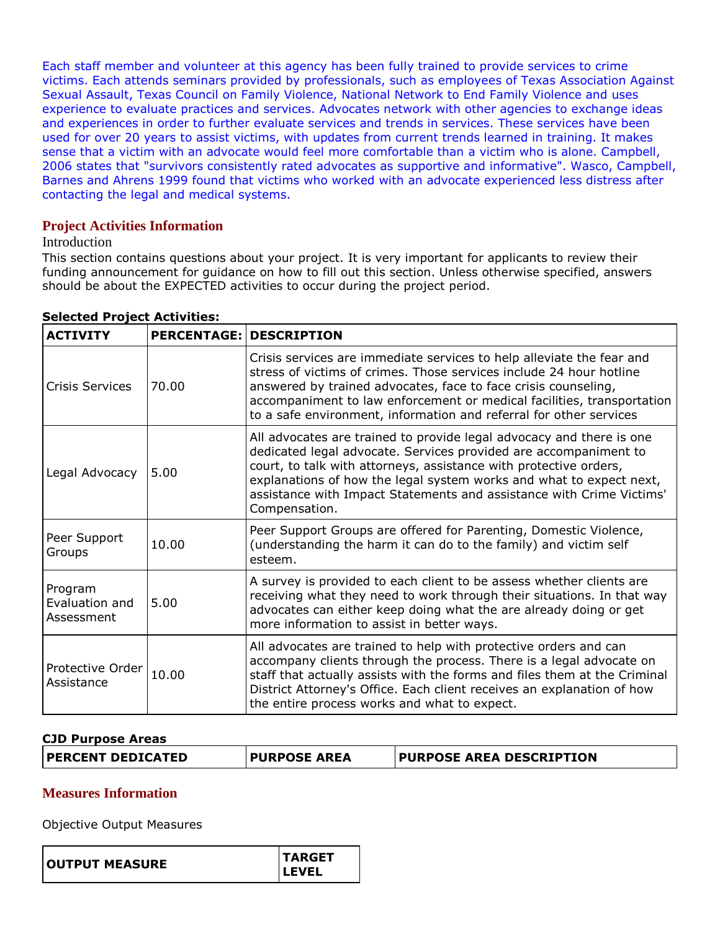Each staff member and volunteer at this agency has been fully trained to provide services to crime victims. Each attends seminars provided by professionals, such as employees of Texas Association Against Sexual Assault, Texas Council on Family Violence, National Network to End Family Violence and uses experience to evaluate practices and services. Advocates network with other agencies to exchange ideas and experiences in order to further evaluate services and trends in services. These services have been used for over 20 years to assist victims, with updates from current trends learned in training. It makes sense that a victim with an advocate would feel more comfortable than a victim who is alone. Campbell, 2006 states that "survivors consistently rated advocates as supportive and informative". Wasco, Campbell, Barnes and Ahrens 1999 found that victims who worked with an advocate experienced less distress after contacting the legal and medical systems.

## **Project Activities Information**

#### **Introduction**

This section contains questions about your project. It is very important for applicants to review their funding announcement for guidance on how to fill out this section. Unless otherwise specified, answers should be about the EXPECTED activities to occur during the project period.

| <b>ACTIVITY</b>                         |       | <b>PERCENTAGE: DESCRIPTION</b>                                                                                                                                                                                                                                                                                                                                                |
|-----------------------------------------|-------|-------------------------------------------------------------------------------------------------------------------------------------------------------------------------------------------------------------------------------------------------------------------------------------------------------------------------------------------------------------------------------|
| <b>Crisis Services</b>                  | 70.00 | Crisis services are immediate services to help alleviate the fear and<br>stress of victims of crimes. Those services include 24 hour hotline<br>answered by trained advocates, face to face crisis counseling,<br>accompaniment to law enforcement or medical facilities, transportation<br>to a safe environment, information and referral for other services                |
| Legal Advocacy                          | 5.00  | All advocates are trained to provide legal advocacy and there is one<br>dedicated legal advocate. Services provided are accompaniment to<br>court, to talk with attorneys, assistance with protective orders,<br>explanations of how the legal system works and what to expect next,<br>assistance with Impact Statements and assistance with Crime Victims'<br>Compensation. |
| Peer Support<br>Groups                  | 10.00 | Peer Support Groups are offered for Parenting, Domestic Violence,<br>(understanding the harm it can do to the family) and victim self<br>esteem.                                                                                                                                                                                                                              |
| Program<br>Evaluation and<br>Assessment | 5.00  | A survey is provided to each client to be assess whether clients are<br>receiving what they need to work through their situations. In that way<br>advocates can either keep doing what the are already doing or get<br>more information to assist in better ways.                                                                                                             |
| Protective Order<br>Assistance          | 10.00 | All advocates are trained to help with protective orders and can<br>accompany clients through the process. There is a legal advocate on<br>staff that actually assists with the forms and files them at the Criminal<br>District Attorney's Office. Each client receives an explanation of how<br>the entire process works and what to expect.                                |

#### **Selected Project Activities:**

## **CJD Purpose Areas**

| <b>PERCENT DEDICATED</b> | <b>PURPOSE AREA</b> | <b>PURPOSE AREA DESCRIPTION</b> |
|--------------------------|---------------------|---------------------------------|
|                          |                     |                                 |

## **Measures Information**

Objective Output Measures

| <b>ILEVEL</b> | <b>OUTPUT MEASURE</b> | <b>ITARGET</b> |
|---------------|-----------------------|----------------|
|---------------|-----------------------|----------------|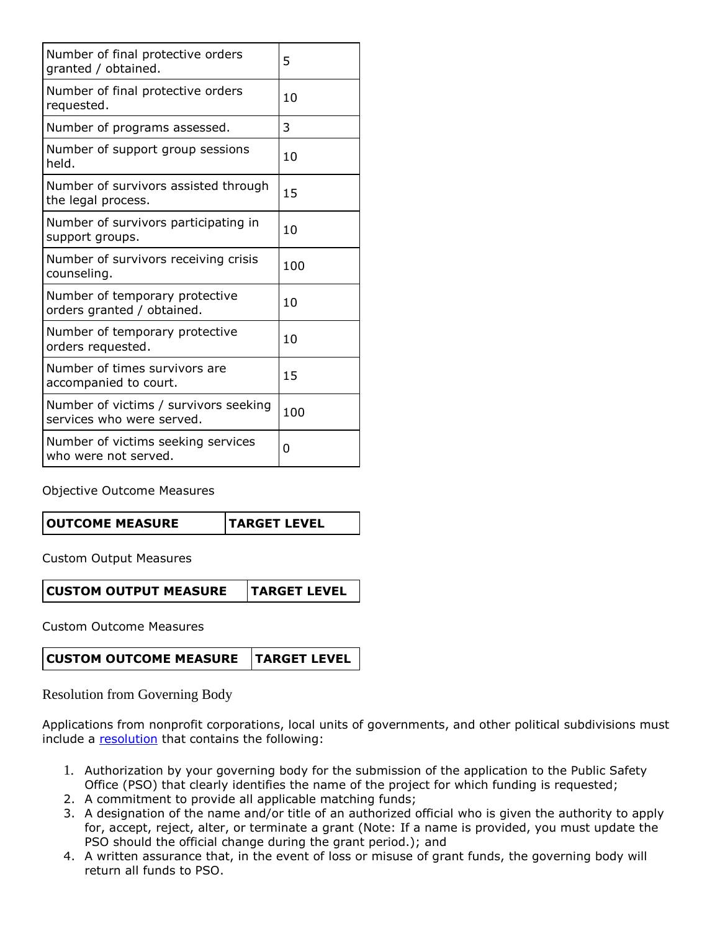| Number of final protective orders<br>granted / obtained.           | 5   |
|--------------------------------------------------------------------|-----|
| Number of final protective orders<br>requested.                    | 10  |
| Number of programs assessed.                                       | 3   |
| Number of support group sessions<br>held.                          | 10  |
| Number of survivors assisted through<br>the legal process.         | 15  |
| Number of survivors participating in<br>support groups.            | 10  |
| Number of survivors receiving crisis<br>counseling.                | 100 |
| Number of temporary protective<br>orders granted / obtained.       | 10  |
| Number of temporary protective<br>orders requested.                | 10  |
| Number of times survivors are<br>accompanied to court.             | 15  |
| Number of victims / survivors seeking<br>services who were served. | 100 |
| Number of victims seeking services<br>who were not served.         | 0   |

Objective Outcome Measures

|  | <b>OUTCOME MEASURE</b> | <b>TARGET LEVEL</b> |
|--|------------------------|---------------------|
|--|------------------------|---------------------|

Custom Output Measures

**CUSTOM OUTPUT MEASURE TARGET LEVEL**

Custom Outcome Measures

**CUSTOM OUTCOME MEASURE TARGET LEVEL**

Resolution from Governing Body

Applications from nonprofit corporations, local units of governments, and other political subdivisions must include a [resolution](file:///C:/Users/mharp/FileDirectory/OOG_Sample_Resolution.doc) that contains the following:

- 1. Authorization by your governing body for the submission of the application to the Public Safety Office (PSO) that clearly identifies the name of the project for which funding is requested;
- 2. A commitment to provide all applicable matching funds;
- 3. A designation of the name and/or title of an authorized official who is given the authority to apply for, accept, reject, alter, or terminate a grant (Note: If a name is provided, you must update the PSO should the official change during the grant period.); and
- 4. A written assurance that, in the event of loss or misuse of grant funds, the governing body will return all funds to PSO.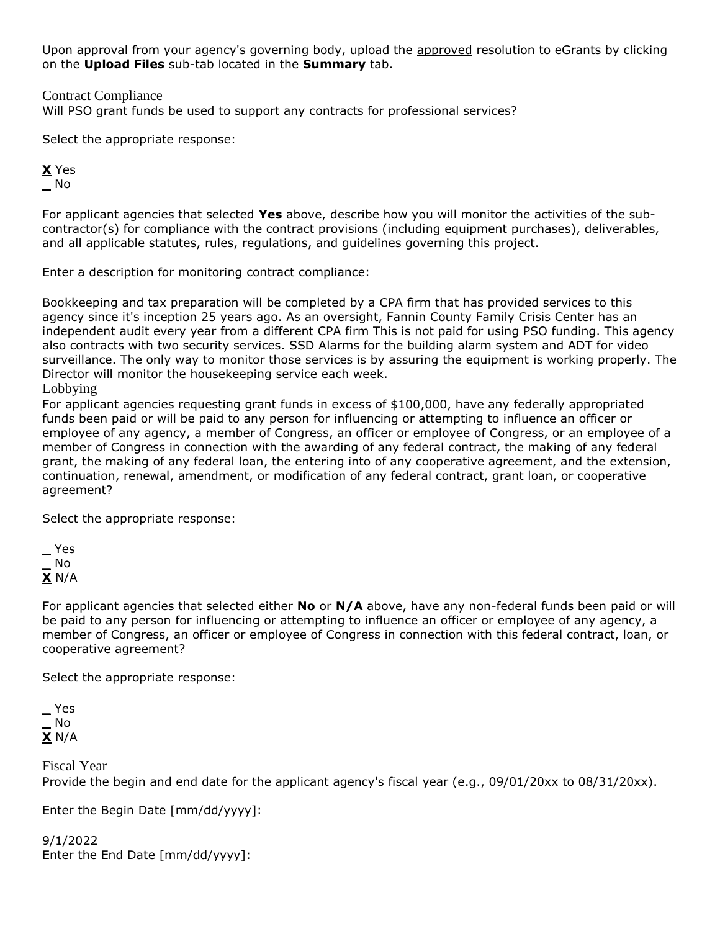Upon approval from your agency's governing body, upload the approved resolution to eGrants by clicking on the **Upload Files** sub-tab located in the **Summary** tab.

Contract Compliance

Will PSO grant funds be used to support any contracts for professional services?

Select the appropriate response:

**X** Yes **\_** No

For applicant agencies that selected **Yes** above, describe how you will monitor the activities of the subcontractor(s) for compliance with the contract provisions (including equipment purchases), deliverables, and all applicable statutes, rules, regulations, and guidelines governing this project.

Enter a description for monitoring contract compliance:

Bookkeeping and tax preparation will be completed by a CPA firm that has provided services to this agency since it's inception 25 years ago. As an oversight, Fannin County Family Crisis Center has an independent audit every year from a different CPA firm This is not paid for using PSO funding. This agency also contracts with two security services. SSD Alarms for the building alarm system and ADT for video surveillance. The only way to monitor those services is by assuring the equipment is working properly. The Director will monitor the housekeeping service each week.

Lobbying

For applicant agencies requesting grant funds in excess of \$100,000, have any federally appropriated funds been paid or will be paid to any person for influencing or attempting to influence an officer or employee of any agency, a member of Congress, an officer or employee of Congress, or an employee of a member of Congress in connection with the awarding of any federal contract, the making of any federal grant, the making of any federal loan, the entering into of any cooperative agreement, and the extension, continuation, renewal, amendment, or modification of any federal contract, grant loan, or cooperative agreement?

Select the appropriate response:

**\_** Yes **\_** No **X** N/A

For applicant agencies that selected either **No** or **N/A** above, have any non-federal funds been paid or will be paid to any person for influencing or attempting to influence an officer or employee of any agency, a member of Congress, an officer or employee of Congress in connection with this federal contract, loan, or cooperative agreement?

Select the appropriate response:

**\_** Yes **\_** No **X** N/A

Fiscal Year Provide the begin and end date for the applicant agency's fiscal year (e.g., 09/01/20xx to 08/31/20xx).

Enter the Begin Date [mm/dd/yyyy]:

9/1/2022 Enter the End Date [mm/dd/yyyy]: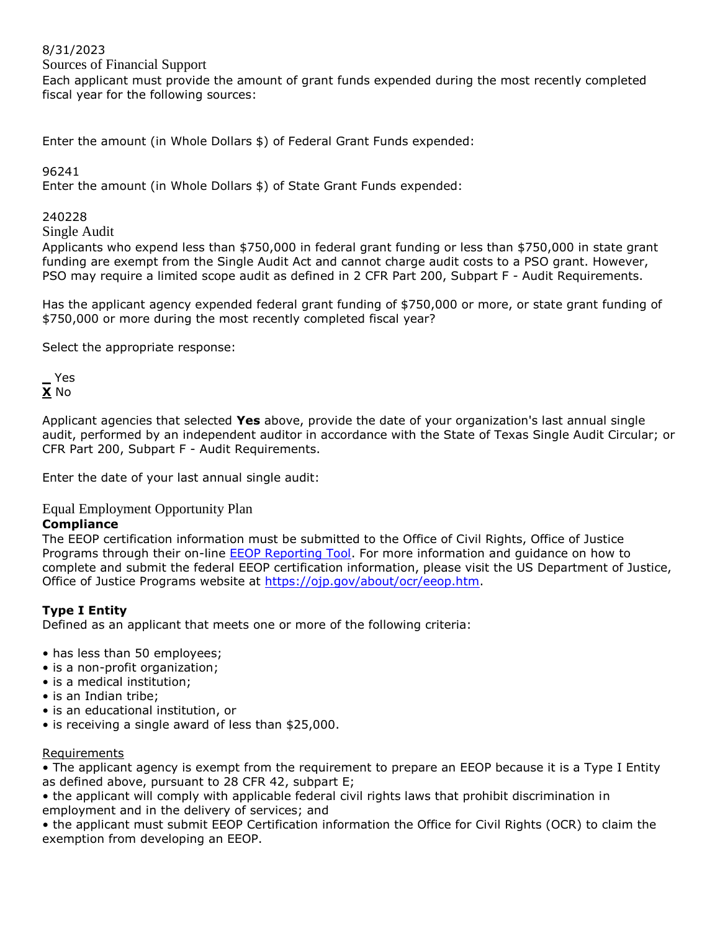## 8/31/2023

Sources of Financial Support

Each applicant must provide the amount of grant funds expended during the most recently completed fiscal year for the following sources:

Enter the amount (in Whole Dollars \$) of Federal Grant Funds expended:

96241

Enter the amount (in Whole Dollars \$) of State Grant Funds expended:

### 240228

Single Audit

Applicants who expend less than \$750,000 in federal grant funding or less than \$750,000 in state grant funding are exempt from the Single Audit Act and cannot charge audit costs to a PSO grant. However, PSO may require a limited scope audit as defined in 2 CFR Part 200, Subpart F - Audit Requirements.

Has the applicant agency expended federal grant funding of \$750,000 or more, or state grant funding of \$750,000 or more during the most recently completed fiscal year?

Select the appropriate response:

**\_** Yes **X** No

Applicant agencies that selected **Yes** above, provide the date of your organization's last annual single audit, performed by an independent auditor in accordance with the State of Texas Single Audit Circular; or CFR Part 200, Subpart F - Audit Requirements.

Enter the date of your last annual single audit:

Equal Employment Opportunity Plan

### **Compliance**

The EEOP certification information must be submitted to the Office of Civil Rights, Office of Justice Programs through their on-line [EEOP Reporting Tool.](https://ocr-eeop.ncjrs.gov/_layouts/15/eeopLogin2/customLogin.aspx?ReturnUrl=%2f_layouts%2f15%2fAuthenticate.aspx%3fSource%3d%252F&Source=%2F) For more information and guidance on how to complete and submit the federal EEOP certification information, please visit the US Department of Justice, Office of Justice Programs website at [https://ojp.gov/about/ocr/eeop.htm.](https://ojp.gov/about/ocr/eeop.htm)

## **Type I Entity**

Defined as an applicant that meets one or more of the following criteria:

- has less than 50 employees;
- is a non-profit organization;
- is a medical institution;
- is an Indian tribe;
- is an educational institution, or
- is receiving a single award of less than \$25,000.

#### **Requirements**

• The applicant agency is exempt from the requirement to prepare an EEOP because it is a Type I Entity as defined above, pursuant to 28 CFR 42, subpart E;

• the applicant will comply with applicable federal civil rights laws that prohibit discrimination in employment and in the delivery of services; and

• the applicant must submit EEOP Certification information the Office for Civil Rights (OCR) to claim the exemption from developing an EEOP.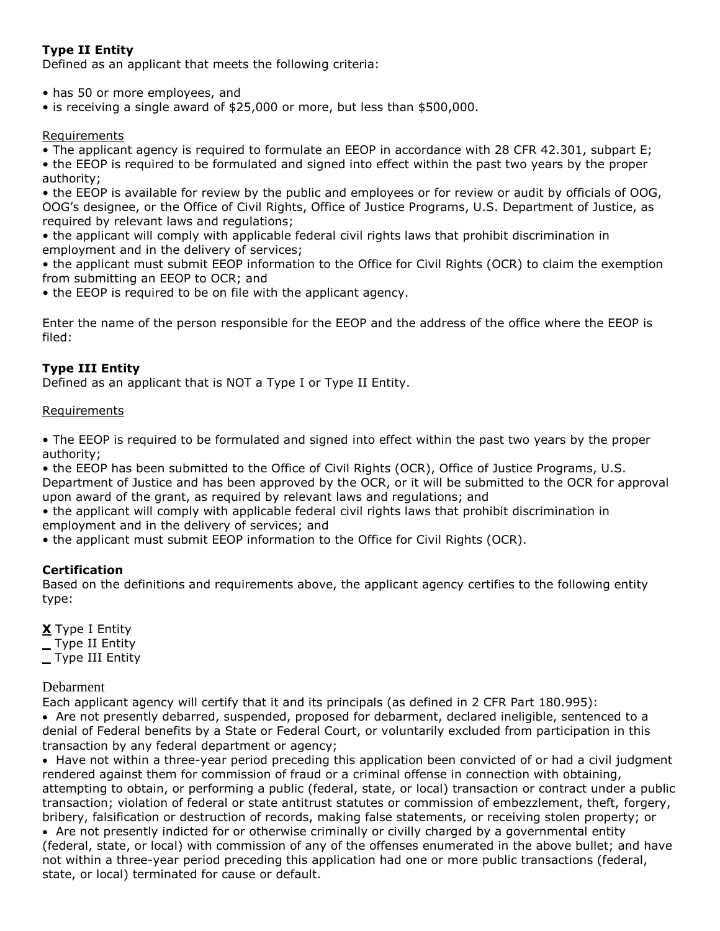# **Type II Entity**

Defined as an applicant that meets the following criteria:

• has 50 or more employees, and

• is receiving a single award of \$25,000 or more, but less than \$500,000.

## Requirements

• The applicant agency is required to formulate an EEOP in accordance with 28 CFR 42.301, subpart E;

• the EEOP is required to be formulated and signed into effect within the past two years by the proper authority;

• the EEOP is available for review by the public and employees or for review or audit by officials of OOG, OOG's designee, or the Office of Civil Rights, Office of Justice Programs, U.S. Department of Justice, as required by relevant laws and regulations;

• the applicant will comply with applicable federal civil rights laws that prohibit discrimination in employment and in the delivery of services;

• the applicant must submit EEOP information to the Office for Civil Rights (OCR) to claim the exemption from submitting an EEOP to OCR; and

• the EEOP is required to be on file with the applicant agency.

Enter the name of the person responsible for the EEOP and the address of the office where the EEOP is filed:

## **Type III Entity**

Defined as an applicant that is NOT a Type I or Type II Entity.

#### Requirements

• The EEOP is required to be formulated and signed into effect within the past two years by the proper authority;

• the EEOP has been submitted to the Office of Civil Rights (OCR), Office of Justice Programs, U.S. Department of Justice and has been approved by the OCR, or it will be submitted to the OCR for approval upon award of the grant, as required by relevant laws and regulations; and

• the applicant will comply with applicable federal civil rights laws that prohibit discrimination in employment and in the delivery of services; and

• the applicant must submit EEOP information to the Office for Civil Rights (OCR).

## **Certification**

Based on the definitions and requirements above, the applicant agency certifies to the following entity type:

**X** Type I Entity **\_** Type II Entity **\_** Type III Entity

#### Debarment

Each applicant agency will certify that it and its principals (as defined in 2 CFR Part 180.995): Are not presently debarred, suspended, proposed for debarment, declared ineligible, sentenced to a denial of Federal benefits by a State or Federal Court, or voluntarily excluded from participation in this transaction by any federal department or agency;

• Have not within a three-year period preceding this application been convicted of or had a civil judgment rendered against them for commission of fraud or a criminal offense in connection with obtaining, attempting to obtain, or performing a public (federal, state, or local) transaction or contract under a public transaction; violation of federal or state antitrust statutes or commission of embezzlement, theft, forgery, bribery, falsification or destruction of records, making false statements, or receiving stolen property; or Are not presently indicted for or otherwise criminally or civilly charged by a governmental entity (federal, state, or local) with commission of any of the offenses enumerated in the above bullet; and have not within a three-year period preceding this application had one or more public transactions (federal, state, or local) terminated for cause or default.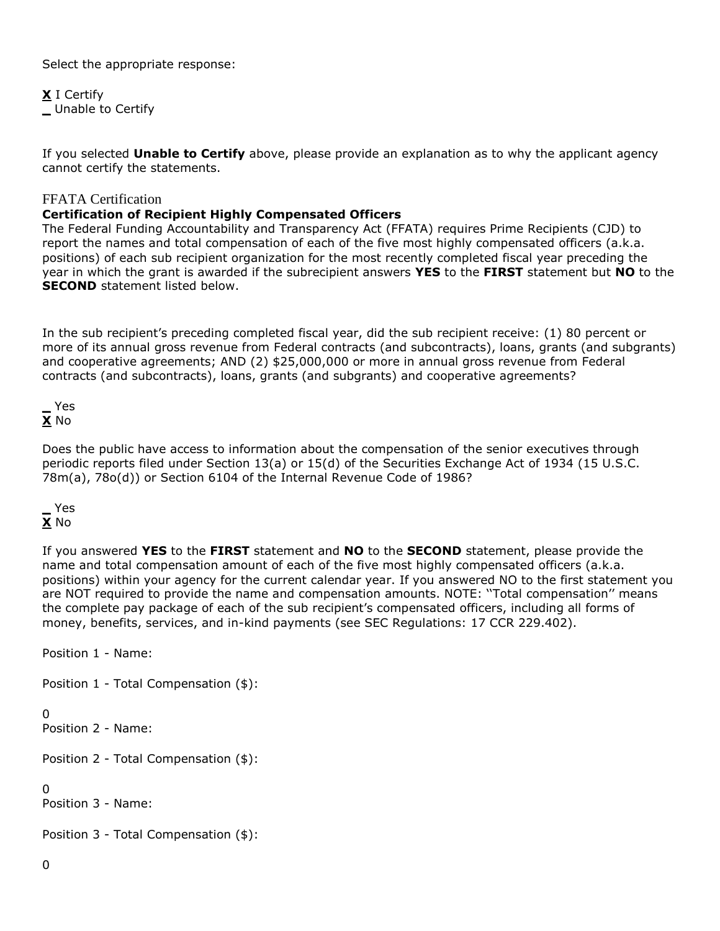Select the appropriate response:

**X** I Certify **\_** Unable to Certify

If you selected **Unable to Certify** above, please provide an explanation as to why the applicant agency cannot certify the statements.

## FFATA Certification

## **Certification of Recipient Highly Compensated Officers**

The Federal Funding Accountability and Transparency Act (FFATA) requires Prime Recipients (CJD) to report the names and total compensation of each of the five most highly compensated officers (a.k.a. positions) of each sub recipient organization for the most recently completed fiscal year preceding the year in which the grant is awarded if the subrecipient answers **YES** to the **FIRST** statement but **NO** to the **SECOND** statement listed below.

In the sub recipient's preceding completed fiscal year, did the sub recipient receive: (1) 80 percent or more of its annual gross revenue from Federal contracts (and subcontracts), loans, grants (and subgrants) and cooperative agreements; AND (2) \$25,000,000 or more in annual gross revenue from Federal contracts (and subcontracts), loans, grants (and subgrants) and cooperative agreements?



Does the public have access to information about the compensation of the senior executives through periodic reports filed under Section 13(a) or 15(d) of the Securities Exchange Act of 1934 (15 U.S.C. 78m(a), 78o(d)) or Section 6104 of the Internal Revenue Code of 1986?

## **\_** Yes **X** No

If you answered **YES** to the **FIRST** statement and **NO** to the **SECOND** statement, please provide the name and total compensation amount of each of the five most highly compensated officers (a.k.a. positions) within your agency for the current calendar year. If you answered NO to the first statement you are NOT required to provide the name and compensation amounts. NOTE: ''Total compensation'' means the complete pay package of each of the sub recipient's compensated officers, including all forms of money, benefits, services, and in-kind payments (see SEC Regulations: 17 CCR 229.402).

Position 1 - Name:

Position 1 - Total Compensation (\$):

 $\Omega$ 

Position 2 - Name:

Position 2 - Total Compensation (\$):

 $\Omega$ 

Position 3 - Name:

Position 3 - Total Compensation (\$):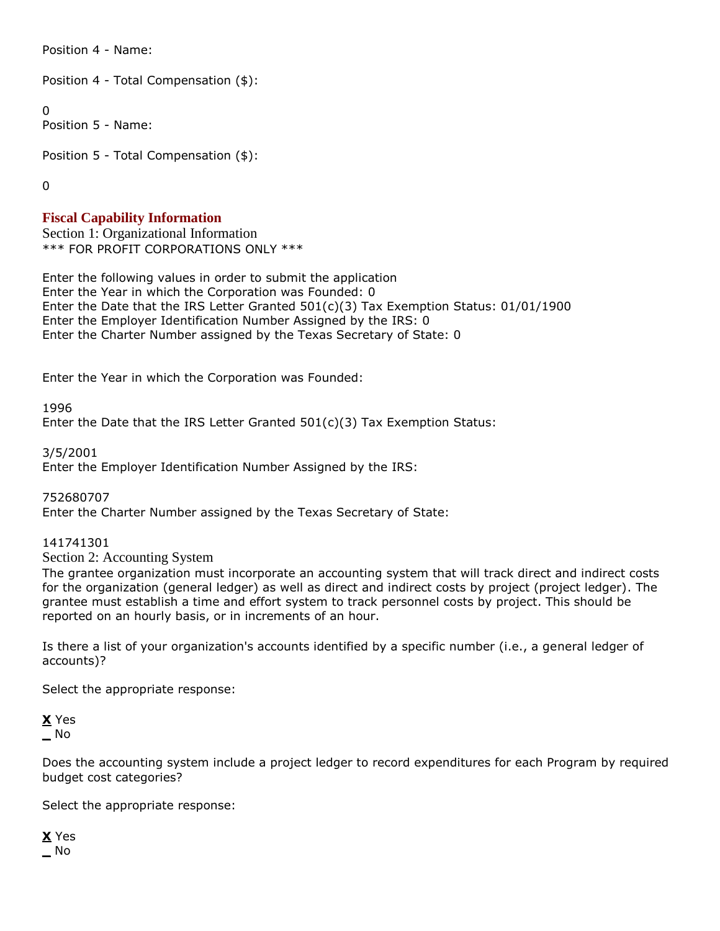Position 4 - Name:

Position 4 - Total Compensation (\$):

0

Position 5 - Name:

Position 5 - Total Compensation (\$):

 $\Omega$ 

## **Fiscal Capability Information**

Section 1: Organizational Information \*\*\* FOR PROFIT CORPORATIONS ONLY \*\*\*

Enter the following values in order to submit the application Enter the Year in which the Corporation was Founded: 0 Enter the Date that the IRS Letter Granted 501(c)(3) Tax Exemption Status: 01/01/1900 Enter the Employer Identification Number Assigned by the IRS: 0 Enter the Charter Number assigned by the Texas Secretary of State: 0

Enter the Year in which the Corporation was Founded:

1996

Enter the Date that the IRS Letter Granted 501(c)(3) Tax Exemption Status:

3/5/2001

Enter the Employer Identification Number Assigned by the IRS:

752680707

Enter the Charter Number assigned by the Texas Secretary of State:

141741301

Section 2: Accounting System

The grantee organization must incorporate an accounting system that will track direct and indirect costs for the organization (general ledger) as well as direct and indirect costs by project (project ledger). The grantee must establish a time and effort system to track personnel costs by project. This should be reported on an hourly basis, or in increments of an hour.

Is there a list of your organization's accounts identified by a specific number (i.e., a general ledger of accounts)?

Select the appropriate response:

**X** Yes **\_** No

Does the accounting system include a project ledger to record expenditures for each Program by required budget cost categories?

Select the appropriate response:

**X** Yes **\_** No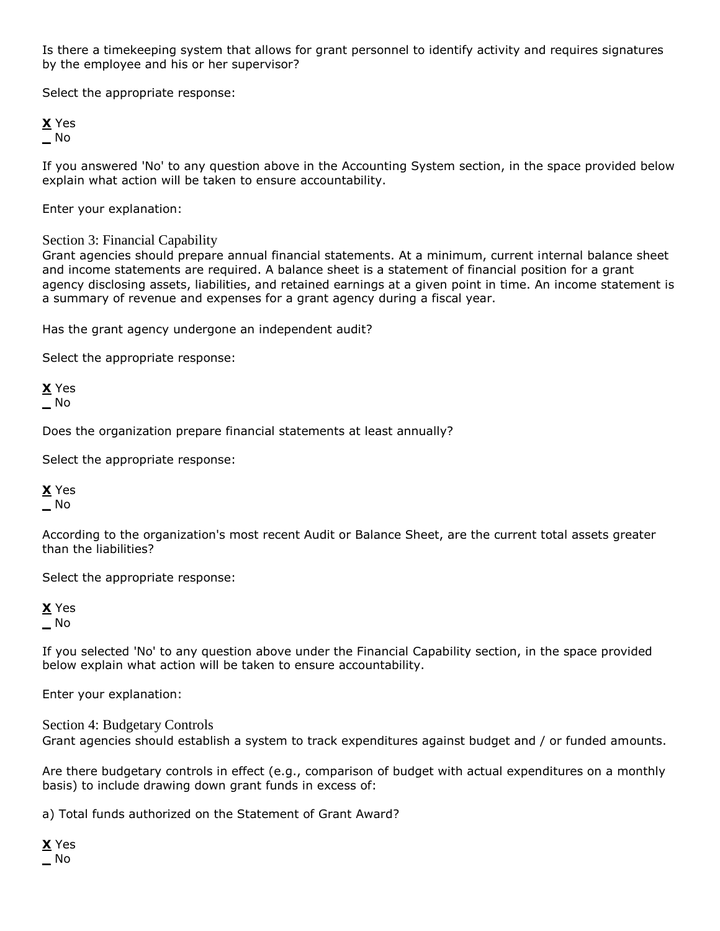Is there a timekeeping system that allows for grant personnel to identify activity and requires signatures by the employee and his or her supervisor?

Select the appropriate response:

## **X** Yes **\_** No

If you answered 'No' to any question above in the Accounting System section, in the space provided below explain what action will be taken to ensure accountability.

Enter your explanation:

## Section 3: Financial Capability

Grant agencies should prepare annual financial statements. At a minimum, current internal balance sheet and income statements are required. A balance sheet is a statement of financial position for a grant agency disclosing assets, liabilities, and retained earnings at a given point in time. An income statement is a summary of revenue and expenses for a grant agency during a fiscal year.

Has the grant agency undergone an independent audit?

Select the appropriate response:

**X** Yes **\_** No

Does the organization prepare financial statements at least annually?

Select the appropriate response:

## **X** Yes **\_** No

According to the organization's most recent Audit or Balance Sheet, are the current total assets greater than the liabilities?

Select the appropriate response:

**X** Yes **\_** No

If you selected 'No' to any question above under the Financial Capability section, in the space provided below explain what action will be taken to ensure accountability.

Enter your explanation:

Section 4: Budgetary Controls Grant agencies should establish a system to track expenditures against budget and / or funded amounts.

Are there budgetary controls in effect (e.g., comparison of budget with actual expenditures on a monthly basis) to include drawing down grant funds in excess of:

a) Total funds authorized on the Statement of Grant Award?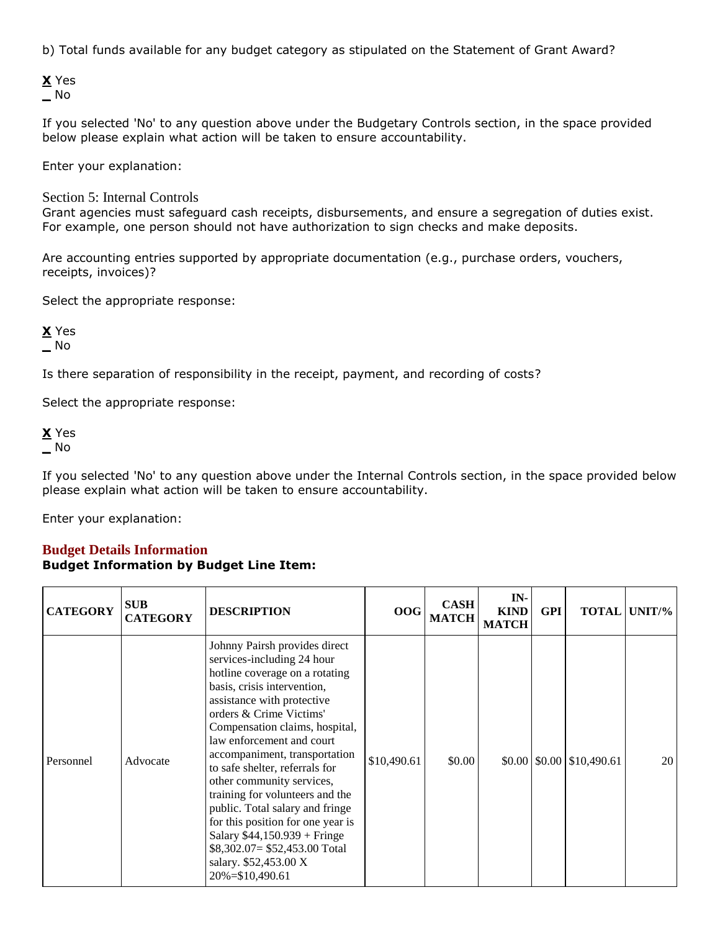b) Total funds available for any budget category as stipulated on the Statement of Grant Award?

**X** Yes **\_** No

If you selected 'No' to any question above under the Budgetary Controls section, in the space provided below please explain what action will be taken to ensure accountability.

Enter your explanation:

Section 5: Internal Controls

Grant agencies must safeguard cash receipts, disbursements, and ensure a segregation of duties exist. For example, one person should not have authorization to sign checks and make deposits.

Are accounting entries supported by appropriate documentation (e.g., purchase orders, vouchers, receipts, invoices)?

Select the appropriate response:

**X** Yes **\_** No

Is there separation of responsibility in the receipt, payment, and recording of costs?

Select the appropriate response:

**X** Yes **\_** No

If you selected 'No' to any question above under the Internal Controls section, in the space provided below please explain what action will be taken to ensure accountability.

Enter your explanation:

## **Budget Details Information Budget Information by Budget Line Item:**

| <b>CATEGORY</b> | <b>SUB</b><br><b>CATEGORY</b> | <b>DESCRIPTION</b>                                                                                                                                                                                                                                                                                                                                                                                                                                                                                                                                                             | 00G         | <b>CASH</b><br><b>MATCH</b> | IN-<br><b>KIND</b><br><b>MATCH</b> | <b>GPI</b> |                                          | <b>TOTAL UNIT/%</b> |
|-----------------|-------------------------------|--------------------------------------------------------------------------------------------------------------------------------------------------------------------------------------------------------------------------------------------------------------------------------------------------------------------------------------------------------------------------------------------------------------------------------------------------------------------------------------------------------------------------------------------------------------------------------|-------------|-----------------------------|------------------------------------|------------|------------------------------------------|---------------------|
| Personnel       | Advocate                      | Johnny Pairsh provides direct<br>services-including 24 hour<br>hotline coverage on a rotating<br>basis, crisis intervention,<br>assistance with protective<br>orders & Crime Victims'<br>Compensation claims, hospital,<br>law enforcement and court<br>accompaniment, transportation<br>to safe shelter, referrals for<br>other community services,<br>training for volunteers and the<br>public. Total salary and fringe<br>for this position for one year is<br>Salary $$44,150.939 + Fringe$<br>$$8,302.07 = $52,453.00$ Total<br>salary. \$52,453.00 X<br>20%=\$10,490.61 | \$10,490.61 | \$0.00                      |                                    |            | $$0.00 \,   \, $0.00 \,   \, $10,490.61$ | 20 <sup>1</sup>     |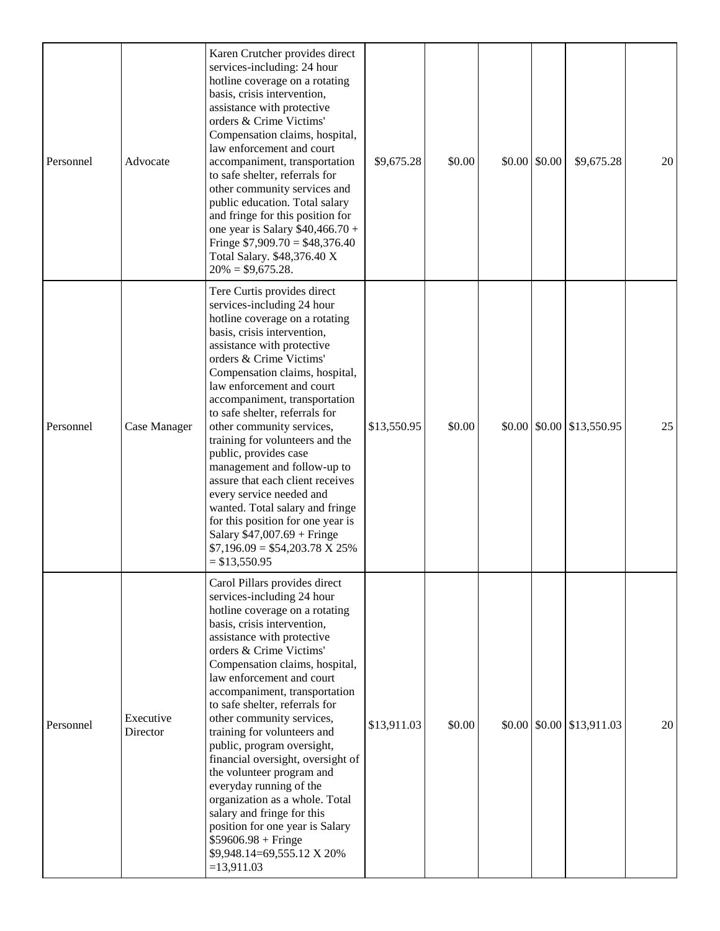| Personnel | Advocate              | Karen Crutcher provides direct<br>services-including: 24 hour<br>hotline coverage on a rotating<br>basis, crisis intervention,<br>assistance with protective<br>orders & Crime Victims'<br>Compensation claims, hospital,<br>law enforcement and court<br>accompaniment, transportation<br>to safe shelter, referrals for<br>other community services and<br>public education. Total salary<br>and fringe for this position for<br>one year is Salary $$40,466.70 +$<br>Fringe $$7,909.70 = $48,376.40$<br>Total Salary. \$48,376.40 X<br>$20\% = $9,675.28.$                                                                                                                           | \$9,675.28  | \$0.00 | $$0.00 \;   \; $0.00$ | \$9,675.28                                             | 20 |
|-----------|-----------------------|-----------------------------------------------------------------------------------------------------------------------------------------------------------------------------------------------------------------------------------------------------------------------------------------------------------------------------------------------------------------------------------------------------------------------------------------------------------------------------------------------------------------------------------------------------------------------------------------------------------------------------------------------------------------------------------------|-------------|--------|-----------------------|--------------------------------------------------------|----|
| Personnel | Case Manager          | Tere Curtis provides direct<br>services-including 24 hour<br>hotline coverage on a rotating<br>basis, crisis intervention,<br>assistance with protective<br>orders & Crime Victims'<br>Compensation claims, hospital,<br>law enforcement and court<br>accompaniment, transportation<br>to safe shelter, referrals for<br>other community services,<br>training for volunteers and the<br>public, provides case<br>management and follow-up to<br>assure that each client receives<br>every service needed and<br>wanted. Total salary and fringe<br>for this position for one year is<br>Salary $$47,007.69 + Fringe$<br>$$7,196.09 = $54,203.78 \text{ X } 25\%$<br>$= $13,550.95$     | \$13,550.95 | \$0.00 |                       | $$0.00 \, \text{]} \, $0.00 \, \text{]} \, $13,550.95$ | 25 |
| Personnel | Executive<br>Director | Carol Pillars provides direct<br>services-including 24 hour<br>hotline coverage on a rotating<br>basis, crisis intervention,<br>assistance with protective<br>orders & Crime Victims'<br>Compensation claims, hospital,<br>law enforcement and court<br>accompaniment, transportation<br>to safe shelter, referrals for<br>other community services,<br>training for volunteers and<br>public, program oversight,<br>financial oversight, oversight of<br>the volunteer program and<br>everyday running of the<br>organization as a whole. Total<br>salary and fringe for this<br>position for one year is Salary<br>$$59606.98 + Fringe$<br>\$9,948.14=69,555.12 X 20%<br>$=13,911.03$ | \$13,911.03 | \$0.00 |                       | $$0.00 \,   \, $0.00 \,   \, $13,911.03$               | 20 |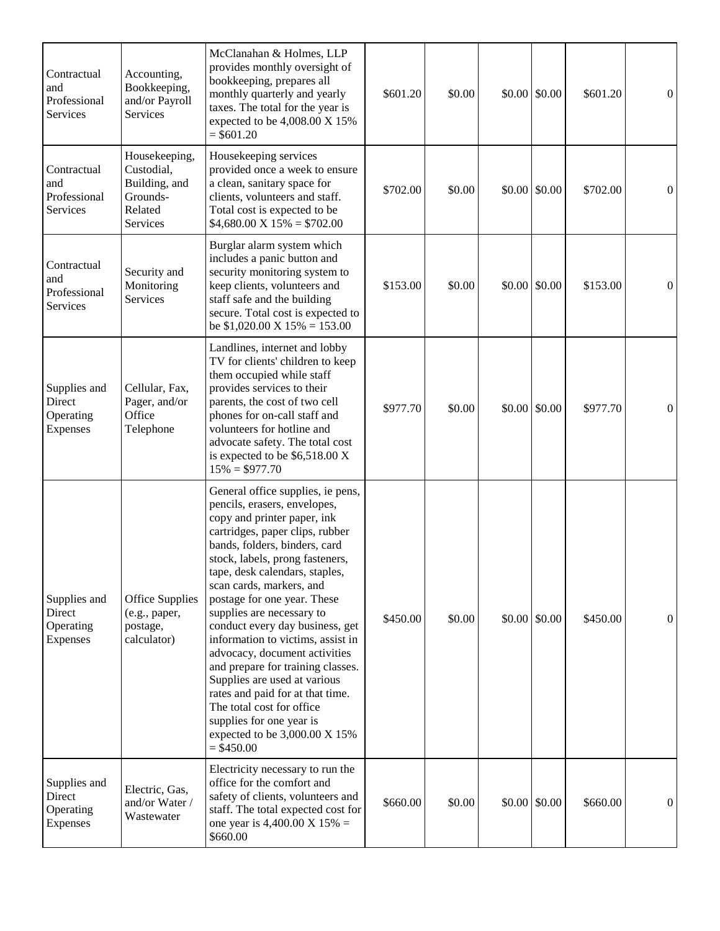| Contractual<br>and<br>Professional<br>Services  | Accounting,<br>Bookkeeping,<br>and/or Payroll<br>Services                       | McClanahan & Holmes, LLP<br>provides monthly oversight of<br>bookkeeping, prepares all<br>monthly quarterly and yearly<br>taxes. The total for the year is<br>expected to be 4,008.00 X 15%<br>$= $601.20$                                                                                                                                                                                                                                                                                                                                                                                                                                                    | \$601.20 | \$0.00 | $$0.00 \, \text{S}0.00$ | \$601.20 | $\overline{0}$ |
|-------------------------------------------------|---------------------------------------------------------------------------------|---------------------------------------------------------------------------------------------------------------------------------------------------------------------------------------------------------------------------------------------------------------------------------------------------------------------------------------------------------------------------------------------------------------------------------------------------------------------------------------------------------------------------------------------------------------------------------------------------------------------------------------------------------------|----------|--------|-------------------------|----------|----------------|
| Contractual<br>and<br>Professional<br>Services  | Housekeeping,<br>Custodial,<br>Building, and<br>Grounds-<br>Related<br>Services | Housekeeping services<br>provided once a week to ensure<br>a clean, sanitary space for<br>clients, volunteers and staff.<br>Total cost is expected to be<br>$$4,680.00 \text{ X } 15\% = $702.00$                                                                                                                                                                                                                                                                                                                                                                                                                                                             | \$702.00 | \$0.00 | $$0.00 \, \text{S}0.00$ | \$702.00 | $\overline{0}$ |
| Contractual<br>and<br>Professional<br>Services  | Security and<br>Monitoring<br>Services                                          | Burglar alarm system which<br>includes a panic button and<br>security monitoring system to<br>keep clients, volunteers and<br>staff safe and the building<br>secure. Total cost is expected to<br>be $$1,020.00 \text{ X } 15\% = 153.00$                                                                                                                                                                                                                                                                                                                                                                                                                     | \$153.00 | \$0.00 | \$0.00 \$0.00           | \$153.00 | $\overline{0}$ |
| Supplies and<br>Direct<br>Operating<br>Expenses | Cellular, Fax,<br>Pager, and/or<br>Office<br>Telephone                          | Landlines, internet and lobby<br>TV for clients' children to keep<br>them occupied while staff<br>provides services to their<br>parents, the cost of two cell<br>phones for on-call staff and<br>volunteers for hotline and<br>advocate safety. The total cost<br>is expected to be $$6,518.00 X$<br>$15\% = $977.70$                                                                                                                                                                                                                                                                                                                                         | \$977.70 | \$0.00 | \$0.00 \$0.00           | \$977.70 | $\overline{0}$ |
| Supplies and<br>Direct<br>Operating<br>Expenses | <b>Office Supplies</b><br>(e.g., paper,<br>postage,<br>calculator)              | General office supplies, ie pens,<br>pencils, erasers, envelopes,<br>copy and printer paper, ink<br>cartridges, paper clips, rubber<br>bands, folders, binders, card<br>stock, labels, prong fasteners,<br>tape, desk calendars, staples,<br>scan cards, markers, and<br>postage for one year. These<br>supplies are necessary to<br>conduct every day business, get<br>information to victims, assist in<br>advocacy, document activities<br>and prepare for training classes.<br>Supplies are used at various<br>rates and paid for at that time.<br>The total cost for office<br>supplies for one year is<br>expected to be 3,000.00 X 15%<br>$=$ \$450.00 | \$450.00 | \$0.00 | $$0.00 \, \text{S}0.00$ | \$450.00 | $\overline{0}$ |
| Supplies and<br>Direct<br>Operating<br>Expenses | Electric, Gas,<br>and/or Water /<br>Wastewater                                  | Electricity necessary to run the<br>office for the comfort and<br>safety of clients, volunteers and<br>staff. The total expected cost for<br>one year is 4,400.00 X 15% =<br>\$660.00                                                                                                                                                                                                                                                                                                                                                                                                                                                                         | \$660.00 | \$0.00 | $$0.00 \, \text{S}0.00$ | \$660.00 | $\overline{0}$ |